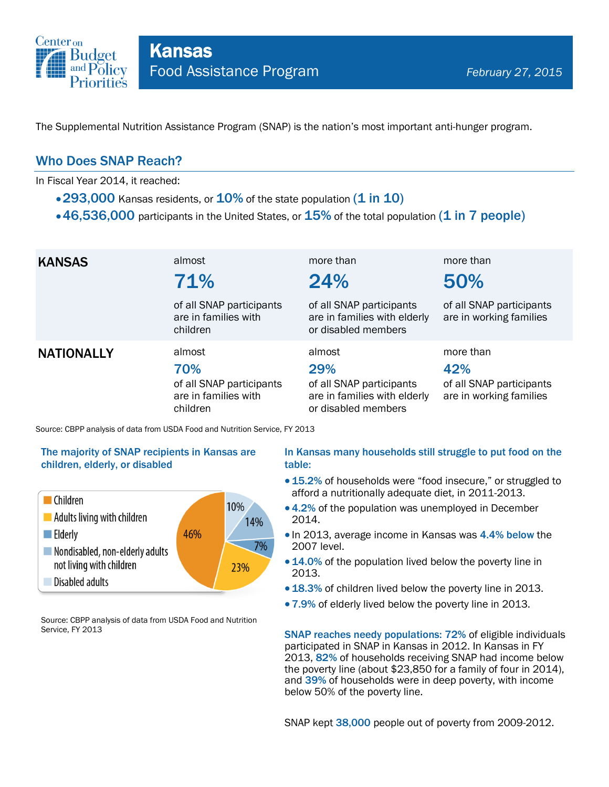

The Supplemental Nutrition Assistance Program (SNAP) is the nation's most important anti-hunger program.

### Who Does SNAP Reach?

In Fiscal Year 2014, it reached:

- $\cdot$  293,000 Kansas residents, or  $10\%$  of the state population (1 in 10)
- $\cdot$  46,536,000 participants in the United States, or  $15\%$  of the total population (1 in 7 people)

| <b>KANSAS</b>     | almost<br>71%<br>of all SNAP participants<br>are in families with<br>children | more than<br>24%<br>of all SNAP participants<br>are in families with elderly<br>or disabled members | more than<br>50%<br>of all SNAP participants<br>are in working families |
|-------------------|-------------------------------------------------------------------------------|-----------------------------------------------------------------------------------------------------|-------------------------------------------------------------------------|
| <b>NATIONALLY</b> | almost<br>70%<br>of all SNAP participants<br>are in families with<br>children | almost<br>29%<br>of all SNAP participants<br>are in families with elderly<br>or disabled members    | more than<br>42%<br>of all SNAP participants<br>are in working families |

Source: CBPP analysis of data from USDA Food and Nutrition Service, FY 2013

#### The majority of SNAP recipients in Kansas are children, elderly, or disabled



Source: CBPP analysis of data from USDA Food and Nutrition Service, FY 2013

#### In Kansas many households still struggle to put food on the table:

- 15.2% of households were "food insecure," or struggled to afford a nutritionally adequate diet, in 2011-2013.
- 4.2% of the population was unemployed in December 2014.
- In 2013, average income in Kansas was 4.4% below the 2007 level.
- 14.0% of the population lived below the poverty line in 2013.
- 18.3% of children lived below the poverty line in 2013.
- 7.9% of elderly lived below the poverty line in 2013.

SNAP reaches needy populations: 72% of eligible individuals participated in SNAP in Kansas in 2012. In Kansas in FY 2013, 82% of households receiving SNAP had income below the poverty line (about \$23,850 for a family of four in 2014), and 39% of households were in deep poverty, with income below 50% of the poverty line.

SNAP kept 38,000 people out of poverty from 2009-2012.